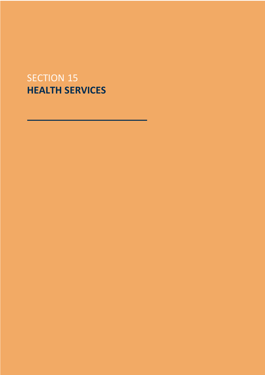# SECTION 15 **HEALTH SERVICES**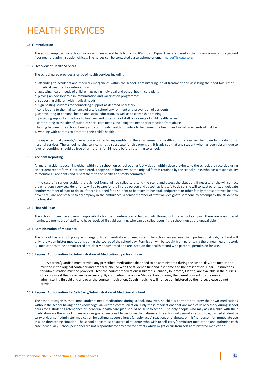# HEALTH SERVICES

## **15.1 Introduction**

The school employs two school nurses who are available daily from 7.10am to 3.15pm. They are based in the nurse's room on the ground floor near the administration offices. The nurses can be contacted via telephone or email nurse@islgatar.org

#### **15.2 Overview of Health Services**

The school nurse provides a range of health services including:

- a. attending to accidents and medical emergencies within the school, administering initial treatment and assessing the need forfurther medical treatment or intervention
- b. assessing health needs of children, agreeing individual and school health care plans
- c. playing an advisory role in immunisation and vaccination programmes
- d. supporting children with medical needs
- e. sign posting students for counselling support as deemed necessary
- f. contributing to the maintenance of a safe school environment and prevention of accidents
- g. contributing to personal health and social education, as well as to citizenship training
- h. providing support and advice to teachers and other school staff on a range of child health issues
- i. contributing to the identification of social care needs, including the need for protection from abuse
- j. liaising between the school, family and community health providers to help meet the health and social care needs of children
- k. working with parents to promote their child's health

It is expected that parents/guardians are primarily responsible for the arrangement of health consultations via their own family doctor or hospital services. The school nursing service is not a substitute for this provision. It is advised that any student who has been absent due to fever or vomiting, should be free of symptoms for 24 hours before returning to school.

#### **15.3 Accident Reporting**

All major accidents occurring either within the school, on school outings/activities or within close proximity to the school, are recorded using an accident report form. Once completed, a copy is sent home whilst the original form is retained by the school nurse, who has a responsibility to monitor all accidents and report them to the health and safety committee.

In the case of a serious accident, the School Nurse will be called to attend the scene and assess the situation. If necessary, she will contact the emergency services. Her priority will be to care for the injured person and as soon as it is safe to do so, she will contact parents, or delegate another member of staff to do so. If there is a need for a student to be taken to hospital, andparents or other family representatives (nanny, driver etc.) are not present to accompany in the ambulance, a senior member of staff will designate someone to accompany the student to the hospital.

# **15.4 First Aid Posts**

The school nurses have overall responsibility for the maintenance of first aid kits throughout the school campus. There are a number of nominated members of staff who have received first aid training, who can be called upon if the school nurses are unavailable.

## **15.5 Administration of Medicines**

The school has a strict policy with regard to administration of medicines. The school nurses use their professional judgmentand will only rarely administer medications during the course of the school day. Permission will be sought from parents via the annual health record. All medications to be administered are clearly documented and are listed on the health record with parental permission for use.

# **15.6 Request Authorisation for Administration of Medication by school nurse**

 A parent/guardian must provide any prescribed medications that need to be administered during the school day. The medication must be in the original container and properly labelled with the student's first and last name and the prescription. Clear instructions for administration must be provided. Over-the-counter medications (Children's Panadol, Ibuprofen, Claritin) are available in the nurse's office for use if the nurse deems necessary. By completing the online Medical Health Form, the parent consents to the nurse administering first aid and any over-the-counter medication. Cough medicine will not be administered by the nurse, please do not provide.

### **15.7 Request Authorisation for Self-Carry/Administration of Medicine at school**

The school recognises that some students need medications during school. However, no child is permitted to carry their own medications without the school having prior knowledge via written communication. Only those medications that are medically necessary during school hours for a student's attendance or individual health care plan should be sent to school. The only people who may assist a child with their medication are the school nurses or a designated responsible person in their absence. The schoolwill permit a responsible, trained student to carry and/or self-administer medication for asthma, severe allergic (anaphylactic) reaction, or diabetes, on his/her person for immediate use in a life threatening situation. The school nurse must be aware of students who wish to self-carry/administer medication and authorise each case individually. School personnel are not responsiblefor any adverse effects which might occur from self-administered medication.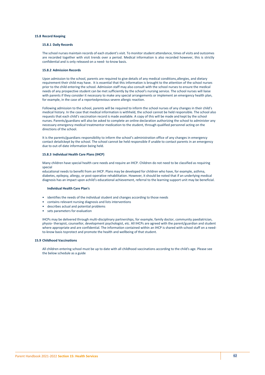# **15.8 Record Keeping**

## **15.8.1 Daily Records**

The school nurses maintain records of each student's visit. To monitor student attendance, times of visits and outcomes are recorded together with visit trends over a period. Medical information is also recorded however, this is strictly confidential and is only released on a need- to-know basis.

## **15.8.2 Admission Records**

Upon admission to the school, parents are required to give details of any medical conditions,allergies, and dietary requirement their child may have. It is essential that this information is brought to the attention of the school nurses prior to the child entering the school. Admission staff may also consult with the school nurses to ensure the medical needs of any prospective student can be met sufficiently by the school's nursing service. The school nurses will liaise with parents if they consider it necessary to make any special arrangements or implement an emergency health plan, for example, in the case of a reportedprevious severe allergic reaction.

Following admission to the school, parents will be required to inform the school nurses of any changes in their child's medical history. In the case that medical information is withheld, the school cannot be held responsible. The school also requests that each child's vaccination record is made available. A copy of this will be made and kept by the school nurses. Parents/guardians will also be asked to complete an online declaration authorizing the school to administer any necessary emergency medical treatmentor medication to the student, through qualified personnel acting on the directions of the school.

It is the parents/guardians responsibility to inform the school's administration office of any changes in emergency contact detailskept by the school. The school cannot be held responsible if unable to contact parents in an emergency due to out-of-date information being held.

#### **15.8.3 Individual Health Care Plans (IHCP)**

Many children have special health care needs and require an IHCP. Children do not need to be classified as requiring special

educational needs to benefit from an IHCP. Plans may be developed for children who have, for example, asthma, diabetes, epilepsy, allergy, or post-operative rehabilitation. However, it should be noted that if an underlying medical diagnosis has an impact upon achild's educational achievement, referral to the learning support unit may be beneficial.

## **Individual Health Care Plan's**

- identifies the needs of the individual student and changes according to those needs
- contains relevant nursing diagnosis and lists interventions
- describes actual and potential problems
- sets parameters for evaluation

IHCPs may be delivered through multi-disciplinary partnerships, for example, family doctor, community paediatrician, physio- therapist, counsellor, development psychologist, etc. All IHCPs are agreed with the parent/guardian and student where appropriate and are confidential. The information contained within an IHCP is shared with school staff on a needto-know basis toprotect and promote the health and wellbeing of that student.

# **15.9 Childhood Vaccinations**

All children entering school must be up to date with all childhood vaccinations according to the child's age. Please see the below schedule as a guide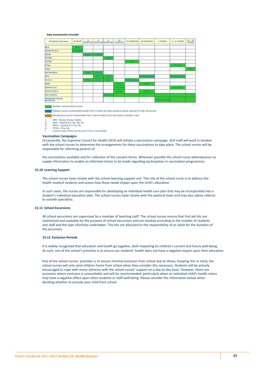#### **Bahy Immunization Schedule**

| <b>Schedule/Vaccines</b>        | <b>At Birth</b>   | $\overline{2}$    | $\overline{4}$    | 6<br>MONTHS MONTHS MONTHS | $12$<br><b>MONTHS</b> | <b>15 MONTHS</b>    | <b>18 MONTHS</b> | 2 YEARS       | $4 - 6$ YEARS          | $13 - 16$<br><b>YEARS</b> |
|---------------------------------|-------------------|-------------------|-------------------|---------------------------|-----------------------|---------------------|------------------|---------------|------------------------|---------------------------|
| <b>BCG</b>                      | <b>BCG</b>        |                   |                   |                           |                       |                     |                  |               |                        |                           |
| <b>HEPATITIS B</b>              | <b>lepatitist</b> |                   |                   |                           |                       |                     |                  |               |                        |                           |
| <b>HEXA</b>                     |                   | <b>Hexa1</b>      | Hexa <sub>2</sub> |                           |                       |                     |                  |               |                        |                           |
| <b>PENTA</b>                    |                   |                   |                   | Penta                     |                       |                     |                  |               |                        |                           |
| <b>TETRA</b>                    |                   |                   |                   |                           |                       | Tetra               |                  |               |                        |                           |
| <b>DTap</b>                     |                   |                   |                   |                           |                       |                     |                  |               | <b>DTaPB</b>           |                           |
| Tdap                            |                   |                   |                   |                           |                       |                     |                  |               |                        | Tdap                      |
| <b>ROTAVIRUS</b>                |                   | Rota <sub>1</sub> | Rota <sub>2</sub> |                           |                       |                     |                  |               |                        |                           |
| OPV                             |                   |                   | OPV <sub>1</sub>  | OPV <sub>2</sub>          |                       |                     | OPV(Booster1     |               | OPV(Booster2           |                           |
| PCV13                           |                   | PCV <sub>1</sub>  | PCV <sub>2</sub>  | PCV <sub>3</sub>          |                       | <b>PCV</b> (Booster |                  |               |                        |                           |
| <b>MMR</b>                      |                   |                   |                   |                           | MMR1                  |                     | MMR <sub>2</sub> |               |                        |                           |
| <b>VARICELLA</b>                |                   |                   |                   |                           | <b>Vericella1</b>     |                     |                  |               | Vericella <sub>2</sub> |                           |
| <b>HEPATITIS A</b>              |                   |                   |                   |                           | HepA1                 |                     | HepA2            |               |                        |                           |
| <b>INFLUENZA</b>                |                   |                   |                   | <b>Influenza</b>          |                       |                     |                  |               |                        |                           |
| MENINGOCOCCAL<br><b>ACYW135</b> |                   |                   |                   |                           |                       |                     |                  | Meningococcal |                        |                           |

Influenza vaccine recommended annually from 6 months and above during flu season especially for high risk persons.

Meningococcal vaccine recommended from 2 years for Hajj & Umra ad travelers to endemic areas.

MMR : Measles, Mumps, Rubella

MMR : Measles, Mullips, Rubella<br>HEXA : Hepatitis B, D Tap, Hib, IPV<br>PENTA : Hepatitis B, D Tap, Hib  $\frac{2}{3}$ 

TETRA : DTap, Hib<br>TETRA : DTap, Hib<br>A second dose of Penta may be given if Tetra is not available  $\frac{8}{4}$ 

## **Vaccination Campaigns**

Occasionally, the Supreme Council for Health (SCH) will initiate a vaccination campaign. SCH staff will work in tandem with the school nurses to determine the arrangements for these vaccinations to take place. The school nurses will be responsible for informing parents of

the vaccinations available and for collection of the consent forms. Wherever possible the school nurse willendeavour to supply information to enable an informed choice to be made regarding participation in vaccination programmes.

#### **15.10 Learning Support**

The school nurses liaise closely with the school learning support unit. The role of the school nurse is to address the health needsof students and assess how those needs impact upon the child's education.

In such cases, the nurses are responsible for developing an individual health care plan that may be incorporated into a student's individual education plan. The school nurses liaise closely with the pastoral team and may also advise referral to outside specialists.

# **15.11 School Excursions**

All school excursions are supervised by a member of teaching staff. The school nurses ensure that first aid kits are maintained and available for the purpose of school excursions and are stocked according to the number of students and staff and the type ofactivity undertaken. The kits are allocated to the responsibility of an adult for the duration of the excursion.

# **15.12 Exclusion Periods**

It is widely recognised that education and health go together, both impacting on children's current and future well-being. As such, one of the school's priorities is to ensure our students' health does not have a negative impact upon their education.

One of the school nurses' priorities is to ensure minimal exclusion from school due to illness. Keeping this in mind, the school nurses will only send children home from school when they consider this necessary. Students will be actively encouraged to cope with minor ailments with the school nurses' support on a day-to-day basis. However, there are occasions where exclusion is unavoidable and will be recommended, particularly when an individual child's health status may have a negative effect upon other students or staff well-being. Please consider the information below when deciding whether to exclude your child from school.